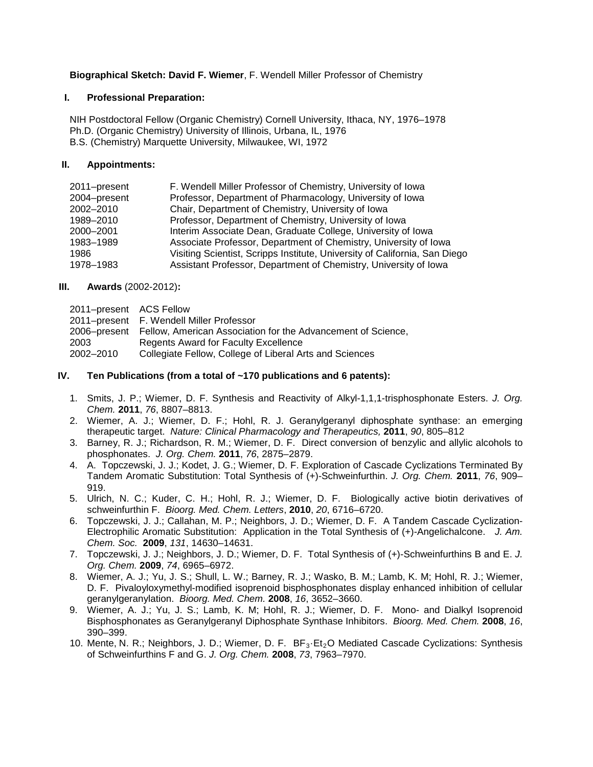**Biographical Sketch: David F. Wiemer**, F. Wendell Miller Professor of Chemistry

#### **I. Professional Preparation:**

NIH Postdoctoral Fellow (Organic Chemistry) Cornell University, Ithaca, NY, 1976–1978 Ph.D. (Organic Chemistry) University of Illinois, Urbana, IL, 1976 B.S. (Chemistry) Marquette University, Milwaukee, WI, 1972

### **II. Appointments:**

| 2011-present | F. Wendell Miller Professor of Chemistry, University of Iowa               |
|--------------|----------------------------------------------------------------------------|
| 2004-present | Professor, Department of Pharmacology, University of Iowa                  |
| 2002-2010    | Chair, Department of Chemistry, University of Iowa                         |
| 1989-2010    | Professor, Department of Chemistry, University of Iowa                     |
| 2000-2001    | Interim Associate Dean, Graduate College, University of Iowa               |
| 1983-1989    | Associate Professor, Department of Chemistry, University of Iowa           |
| 1986         | Visiting Scientist, Scripps Institute, University of California, San Diego |
| 1978-1983    | Assistant Professor, Department of Chemistry, University of Iowa           |

### **III. Awards** (2002-2012)**:**

| 2011-present ACS Fellow |                                                                           |
|-------------------------|---------------------------------------------------------------------------|
|                         | 2011–present F. Wendell Miller Professor                                  |
|                         | 2006–present Fellow, American Association for the Advancement of Science, |
| 2003                    | Regents Award for Faculty Excellence                                      |
| 2002-2010               | Collegiate Fellow, College of Liberal Arts and Sciences                   |

### **IV. Ten Publications (from a total of ~170 publications and 6 patents):**

- 1. Smits, J. P.; Wiemer, D. F. Synthesis and Reactivity of Alkyl-1,1,1-trisphosphonate Esters. *J. Org. Chem.* **2011**, *76*, 8807–8813.
- 2. Wiemer, A. J.; Wiemer, D. F.; Hohl, R. J. Geranylgeranyl diphosphate synthase: an emerging therapeutic target. *Nature: Clinical Pharmacology and Therapeutics,* **2011**, *90*, 805–812
- 3. Barney, R. J.; Richardson, R. M.; Wiemer, D. F. Direct conversion of benzylic and allylic alcohols to phosphonates. *J. Org. Chem.* **2011**, *76*, 2875–2879.
- 4. A. Topczewski, J. J.; Kodet, J. G.; Wiemer, D. F. Exploration of Cascade Cyclizations Terminated By Tandem Aromatic Substitution: Total Synthesis of (+)-Schweinfurthin. *J. Org. Chem.* **2011**, *76*, 909– 919.
- 5. Ulrich, N. C.; Kuder, C. H.; Hohl, R. J.; Wiemer, D. F. Biologically active biotin derivatives of schweinfurthin F. *Bioorg. Med. Chem. Letters*, **2010**, *20*, 6716*–*6720.
- 6. Topczewski, J. J.; Callahan, M. P.; Neighbors, J. D.; Wiemer, D. F. A Tandem Cascade Cyclization-Electrophilic Aromatic Substitution: Application in the Total Synthesis of (+)-Angelichalcone. *J. Am. Chem. Soc.* **2009**, *131*, 14630–14631.
- 7. Topczewski, J. J.; Neighbors, J. D.; Wiemer, D. F. Total Synthesis of (+)-Schweinfurthins B and E. *J. Org. Chem.* **2009**, *74*, 6965–6972.
- 8. Wiemer, A. J.; Yu, J. S.; Shull, L. W.; Barney, R. J.; Wasko, B. M.; Lamb, K. M; Hohl, R. J.; Wiemer, D. F. Pivaloyloxymethyl-modified isoprenoid bisphosphonates display enhanced inhibition of cellular geranylgeranylation.*Bioorg. Med. Chem.* **2008**, *16*, 3652–3660.
- 9. Wiemer, A. J.; Yu, J. S.; Lamb, K. M; Hohl, R. J.; Wiemer, D. F. Mono- and Dialkyl Isoprenoid Bisphosphonates as Geranylgeranyl Diphosphate Synthase Inhibitors. *Bioorg. Med. Chem.* **2008**, *16*, 390–399.
- 10. Mente, N. R.; Neighbors, J. D.; Wiemer, D. F. BF<sub>3</sub>·Et<sub>2</sub>O Mediated Cascade Cyclizations: Synthesis of Schweinfurthins F and G. *J. Org. Chem.* **2008**, *73*, 7963–7970.